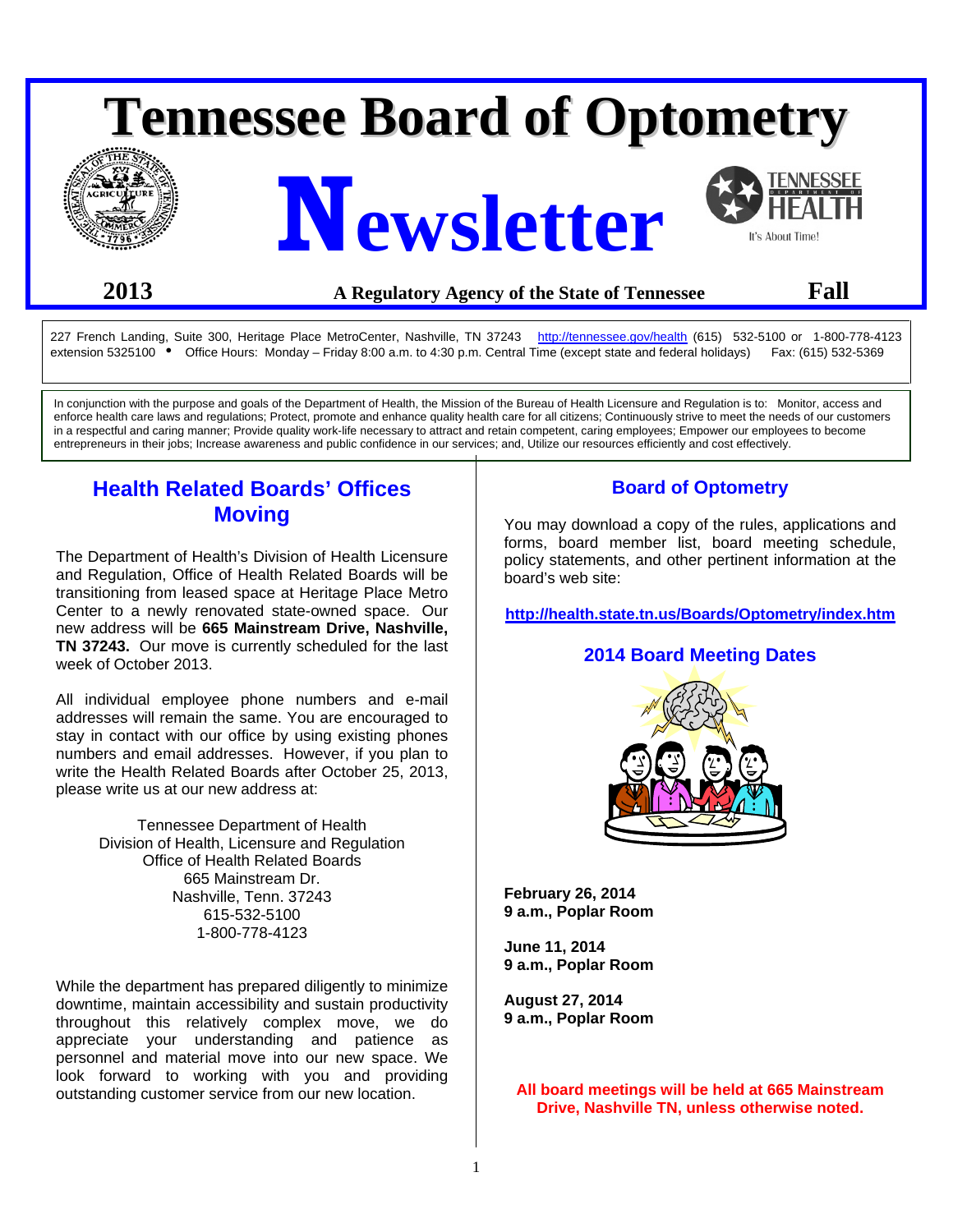# **Tennessee Board of Optometry**







# **2013 A Regulatory Agency of the State of Tennessee Fall**

227 French Landing, Suite 300, Heritage Place MetroCenter, Nashville, TN 37243 [http://tennessee.gov/health](http://www.tennessee.gov/health) (615) 532-5100 or 1-800-778-4123 extension 5325100 • Office Hours: Monday – Friday 8:00 a.m. to 4:30 p.m. Central Time (except state and federal holidays) Fax: (615) 532-5369

In conjunction with the purpose and goals of the Department of Health, the Mission of the Bureau of Health Licensure and Regulation is to: Monitor, access and enforce health care laws and regulations; Protect, promote and enhance quality health care for all citizens; Continuously strive to meet the needs of our customers in a respectful and caring manner; Provide quality work-life necessary to attract and retain competent, caring employees; Empower our employees to become entrepreneurs in their jobs; Increase awareness and public confidence in our services; and, Utilize our resources efficiently and cost effectively.

# **Health Related Boards' Offices Moving**

The Department of Health's Division of Health Licensure and Regulation, Office of Health Related Boards will be transitioning from leased space at Heritage Place Metro Center to a newly renovated state-owned space. Our new address will be **665 Mainstream Drive, Nashville, TN 37243.** Our move is currently scheduled for the last week of October 2013.

All individual employee phone numbers and e-mail addresses will remain the same. You are encouraged to stay in contact with our office by using existing phones numbers and email addresses. However, if you plan to write the Health Related Boards after October 25, 2013, please write us at our new address at:

> Tennessee Department of Health Division of Health, Licensure and Regulation Office of Health Related Boards 665 Mainstream Dr. Nashville, Tenn. 37243 615-532-5100 1-800-778-4123

While the department has prepared diligently to minimize downtime, maintain accessibility and sustain productivity throughout this relatively complex move, we do appreciate your understanding and patience as personnel and material move into our new space. We look forward to working with you and providing outstanding customer service from our new location.

# **Board of Optometry**

You may download a copy of the rules, applications and forms, board member list, board meeting schedule, policy statements, and other pertinent information at the board's web site:

**<http://health.state.tn.us/Boards/Optometry/index.htm>**

#### **2014 Board Meeting Dates**



**February 26, 2014 9 a.m., Poplar Room** 

**June 11, 2014 9 a.m., Poplar Room** 

**August 27, 2014 9 a.m., Poplar Room** 

**All board meetings will be held at 665 Mainstream Drive, Nashville TN, unless otherwise noted.**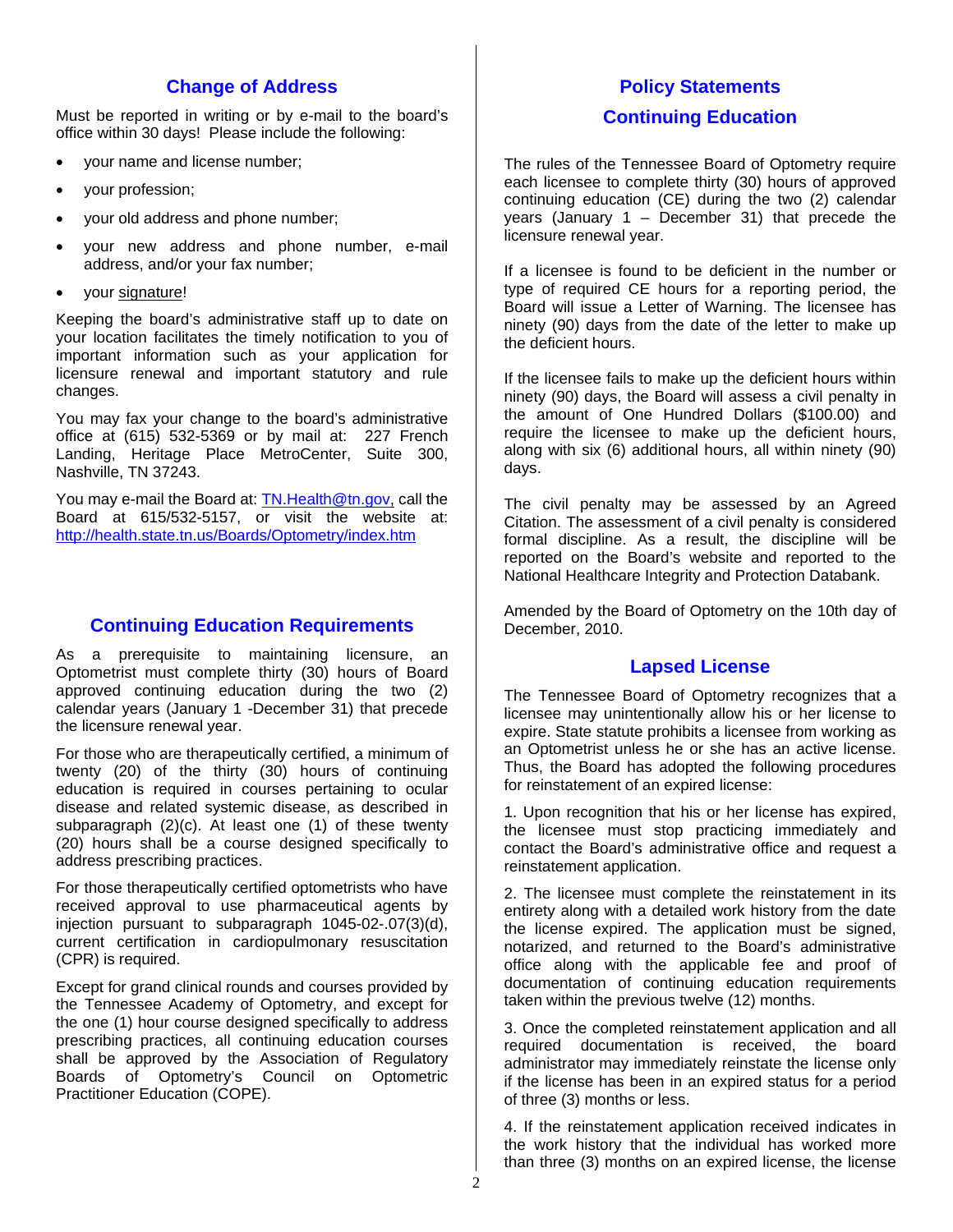## **Change of Address**

Must be reported in writing or by e-mail to the board's office within 30 days! Please include the following:

- your name and license number;
- your profession;
- your old address and phone number;
- your new address and phone number, e-mail address, and/or your fax number;
- your signature!

Keeping the board's administrative staff up to date on your location facilitates the timely notification to you of important information such as your application for licensure renewal and important statutory and rule changes.

You may fax your change to the board's administrative office at (615) 532-5369 or by mail at: 227 French Landing, Heritage Place MetroCenter, Suite 300, Nashville, TN 37243.

You may e-mail the Board at: [TN.Health@tn.gov,](mailto:TN.Health@tn.gov) call the Board at 615/532-5157, or visit the website at: <http://health.state.tn.us/Boards/Optometry/index.htm>

# **Continuing Education Requirements**

As a prerequisite to maintaining licensure, an Optometrist must complete thirty (30) hours of Board approved continuing education during the two (2) calendar years (January 1 -December 31) that precede the licensure renewal year.

For those who are therapeutically certified, a minimum of twenty (20) of the thirty (30) hours of continuing education is required in courses pertaining to ocular disease and related systemic disease, as described in subparagraph (2)(c). At least one (1) of these twenty (20) hours shall be a course designed specifically to address prescribing practices.

For those therapeutically certified optometrists who have received approval to use pharmaceutical agents by injection pursuant to subparagraph 1045-02-.07(3)(d), current certification in cardiopulmonary resuscitation (CPR) is required.

Except for grand clinical rounds and courses provided by the Tennessee Academy of Optometry, and except for the one (1) hour course designed specifically to address prescribing practices, all continuing education courses shall be approved by the Association of Regulatory Boards of Optometry's Council on Optometric Practitioner Education (COPE).

# **Policy Statements**

## **Continuing Education**

The rules of the Tennessee Board of Optometry require each licensee to complete thirty (30) hours of approved continuing education (CE) during the two (2) calendar years (January 1 – December 31) that precede the licensure renewal year.

If a licensee is found to be deficient in the number or type of required CE hours for a reporting period, the Board will issue a Letter of Warning. The licensee has ninety (90) days from the date of the letter to make up the deficient hours.

If the licensee fails to make up the deficient hours within ninety (90) days, the Board will assess a civil penalty in the amount of One Hundred Dollars (\$100.00) and require the licensee to make up the deficient hours, along with six (6) additional hours, all within ninety (90) days.

The civil penalty may be assessed by an Agreed Citation. The assessment of a civil penalty is considered formal discipline. As a result, the discipline will be reported on the Board's website and reported to the National Healthcare Integrity and Protection Databank.

Amended by the Board of Optometry on the 10th day of December, 2010.

#### **Lapsed License**

The Tennessee Board of Optometry recognizes that a licensee may unintentionally allow his or her license to expire. State statute prohibits a licensee from working as an Optometrist unless he or she has an active license. Thus, the Board has adopted the following procedures for reinstatement of an expired license:

1. Upon recognition that his or her license has expired, the licensee must stop practicing immediately and contact the Board's administrative office and request a reinstatement application.

2. The licensee must complete the reinstatement in its entirety along with a detailed work history from the date the license expired. The application must be signed, notarized, and returned to the Board's administrative office along with the applicable fee and proof of documentation of continuing education requirements taken within the previous twelve (12) months.

3. Once the completed reinstatement application and all required documentation is received, the board administrator may immediately reinstate the license only if the license has been in an expired status for a period of three (3) months or less.

4. If the reinstatement application received indicates in the work history that the individual has worked more than three (3) months on an expired license, the license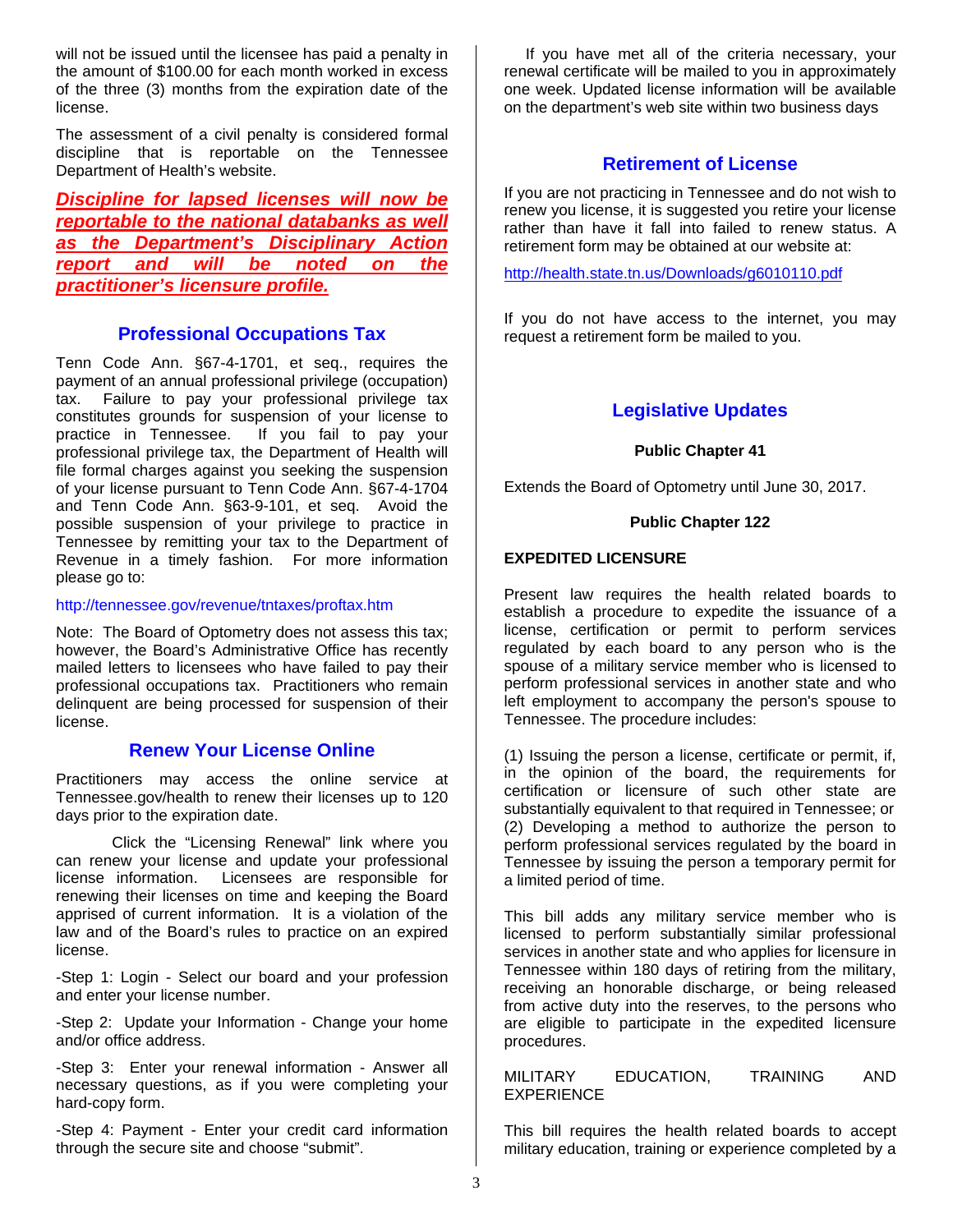will not be issued until the licensee has paid a penalty in the amount of \$100.00 for each month worked in excess of the three (3) months from the expiration date of the license.

The assessment of a civil penalty is considered formal discipline that is reportable on the Tennessee Department of Health's website.

*Discipline for lapsed licenses will now be reportable to the national databanks as well as the Department's Disciplinary Action report and will be noted on the practitioner's licensure profile.*

#### **Professional Occupations Tax**

Tenn Code Ann. §67-4-1701, et seq., requires the payment of an annual professional privilege (occupation) tax. Failure to pay your professional privilege tax constitutes grounds for suspension of your license to practice in Tennessee. If you fail to pay your If you fail to pay your professional privilege tax, the Department of Health will file formal charges against you seeking the suspension of your license pursuant to Tenn Code Ann. §67-4-1704 and Tenn Code Ann. §63-9-101, et seq. Avoid the possible suspension of your privilege to practice in Tennessee by remitting your tax to the Department of Revenue in a timely fashion. For more information please go to:

#### http://tennessee.gov/revenue/tntaxes/proftax.htm

Note: The Board of Optometry does not assess this tax; however, the Board's Administrative Office has recently mailed letters to licensees who have failed to pay their professional occupations tax. Practitioners who remain delinquent are being processed for suspension of their license.

#### **Renew Your License Online**

Practitioners may access the online service at Tennessee.gov/health to renew their licenses up to 120 days prior to the expiration date.

Click the "Licensing Renewal" link where you can renew your license and update your professional license information. Licensees are responsible for renewing their licenses on time and keeping the Board apprised of current information. It is a violation of the law and of the Board's rules to practice on an expired license.

-Step 1: Login - Select our board and your profession and enter your license number.

-Step 2: Update your Information - Change your home and/or office address.

-Step 3: Enter your renewal information - Answer all necessary questions, as if you were completing your hard-copy form.

-Step 4: Payment - Enter your credit card information through the secure site and choose "submit".

 If you have met all of the criteria necessary, your renewal certificate will be mailed to you in approximately one week. Updated license information will be available on the department's web site within two business days

#### **Retirement of License**

If you are not practicing in Tennessee and do not wish to renew you license, it is suggested you retire your license rather than have it fall into failed to renew status. A retirement form may be obtained at our website at:

<http://health.state.tn.us/Downloads/g6010110.pdf>

If you do not have access to the internet, you may request a retirement form be mailed to you.

#### **Legislative Updates**

#### **Public Chapter 41**

Extends the Board of Optometry until June 30, 2017.

#### **Public Chapter 122**

#### **EXPEDITED LICENSURE**

Present law requires the health related boards to establish a procedure to expedite the issuance of a license, certification or permit to perform services regulated by each board to any person who is the spouse of a military service member who is licensed to perform professional services in another state and who left employment to accompany the person's spouse to Tennessee. The procedure includes:

(1) Issuing the person a license, certificate or permit, if, in the opinion of the board, the requirements for certification or licensure of such other state are substantially equivalent to that required in Tennessee; or (2) Developing a method to authorize the person to perform professional services regulated by the board in Tennessee by issuing the person a temporary permit for a limited period of time.

This bill adds any military service member who is licensed to perform substantially similar professional services in another state and who applies for licensure in Tennessee within 180 days of retiring from the military, receiving an honorable discharge, or being released from active duty into the reserves, to the persons who are eligible to participate in the expedited licensure procedures.

#### MILITARY EDUCATION, TRAINING AND EXPERIENCE

This bill requires the health related boards to accept military education, training or experience completed by a